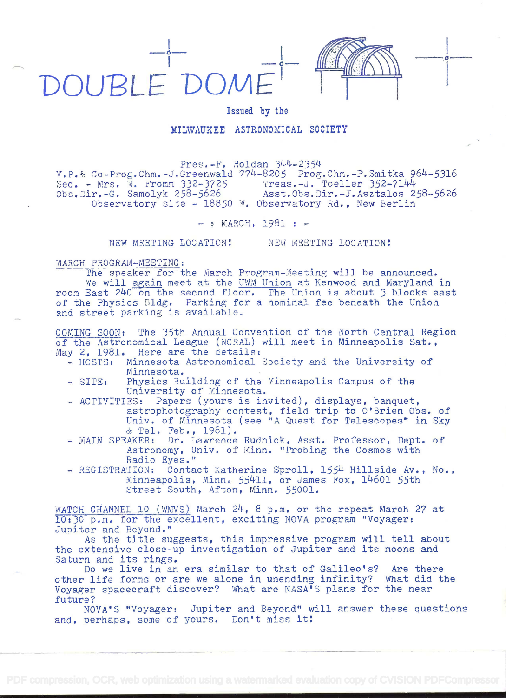

Issued by the

## MILWAUKEE ASTRONOMICAL SOCIETY

Pres.-F. Roldan 344-2354

V.P.& Co-Prog.Chm.-J.Greenwald 774-8205 Prog.Chm.-P.Smitka 964-5316 Sec. - Mrs. M. Fromm 332-3725<br>Obs.Dir.-G. Samolyk 258-5626 Asst.Obs.Dir.-J.Asztalos 258-5626 Observatory site - 18850 W. Observatory Rd., New Berlin

 $-$  » MARCH, 1981 :  $-$ 

NEW MEETING LOCATION!

NEW MEETING LOCATION!

## MARCH PROGRAM-MEETING:

The speaker for the March Program-Meeting will be announced. We will again meet at the UWM Union at Kenwood and Maryland in room East 240 on the second floor. The Union is about 3 blocks east of the Physics Bldg. Parking for a nominal fee beneath the Union and street parking is available.

COMING SOON: The 35th Annual Convention of the North Central Region of the Astronomical League (NCRAL) will meet in Minneapolis Sat., May 2, 1981. Here are the details:

- HOSTS: Minnesota Astronomical Society and the University of Minnesota.
- Physics Building of the Minneapolis Campus of the  $-$  SITE: University of Minnesota.
- ACTIVITIES: Papers (yours is invited), displays, banquet, astrophotography contest, field trip to O'Brien Obs. of Univ. of Minnesota (see "A Quest for Telescopes" in Sky & Tel. Feb., 1981).
- MAIN SPEAKER: Dr. Lawrence Rudnick, Asst. Professor, Dept. of Astronomy, Univ. of Minn. "Probing the Cosmos with Radio Eyes."
- REGISTRATION: Contact Katherine Sproll, 1554 Hillside Av., No., Minneapolis, Minn. 55411, or James Fox, 14601 55th Street South, Afton, Minn. 55001.

WATCH CHANNEL 10 (WMVS) March 24, 8 p.m. or the repeat March 27 at 10:30 p.m. for the excellent, exciting NOVA program "Voyager: Jupiter and Beyond."

As the title suggests, this impressive program will tell about the extensive close-up investigation of Jupiter and its moons and Saturn and its rings.

Do we live in an era similar to that of Galileo's? Are there other life forms or are we alone in unending infinity? What did the Voyager spacecraft discover? What are NASA'S plans for the near future?

NOVA'S "Voyager: Jupiter and Beyond" will answer these questions and, perhaps, some of yours. Don't miss it!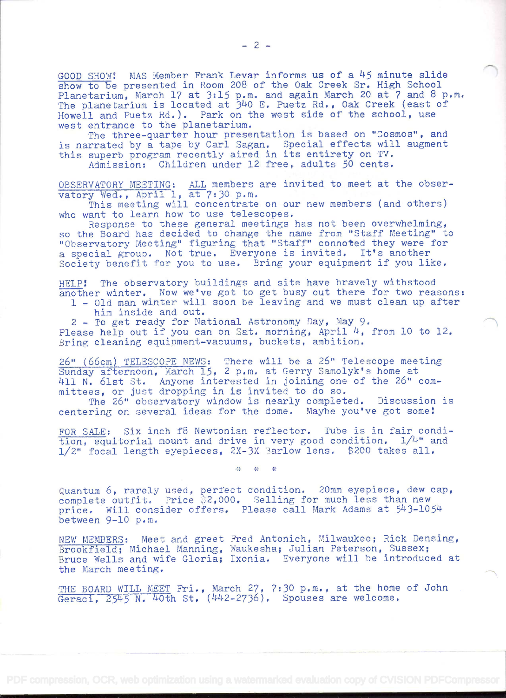GOOD SHOW! MAS Member Frank Levar informs us of a 45 minute slide show to be presented in Room 208 of the Oak Creek Sr. High School Planetarium, March 17 at 3:15 p.m. and again March 20 at 7 and 8 p.m. The planetarium is located at 340 E. Puetz Rd., Oak Creek (east of Howell and Puetz Rd.). Park on the west side of the school, use west entrance to the planetarium.

The three-quarter hour presentation is based on "Cosmos", and is narrated by a tape by Carl Sagan. Special effects will augment this superb program recently aired in its entirety on TV. Admission: Children under 12 free, adults 50 cents.

OBSERVATORY MEETING: ALL members are invited to meet at the obser

vatory Wed., April 1, at 7:30 p.m.<br>This meeting will concentrate on our new members (and others)

This meeting will concentrate on our new members (and others)<br>who want to learn how to use telescopes.<br>Response to these general meetings has not been overwhelming,

so the Board has decided to change the name from "Staff Meeting" to "Observatory Meeting" figuring that "Staff" connoted they were for a special group. Not true. Everyone is invited. It's another Society benefit for you to use. Bring your equipment if you like.

HELP! The observatory buildings and site have bravely withstood another winter. Now we've got to get busy out there for two reasons:

1 - Old man winter will soon be leaving and we must clean up after him inside and out.

<sup>2</sup>- To get ready for National Astronomy Day, May 9. Please help out if you can on Sat. morning, April 4, from 10 to 12. Bring cleaning equipment-vacuums, buckets, ambition.

26" (66cm) TELESCOPE NEWS: There will be a 26" Telescope meeting Sunday afternoon, March 15, 2 p.m. at Gerry Samolyk's home at 411 N. 61st St. Anyone interested in joining one of the 26" comwith we case but impone interested in germing one or of

The 26" observatory window is nearly completed. Discussion is The 26" observatory window is nearly completed. Discussion is centering on several ideas for the dome. Maybe you've got some!

FOR SALE: Six inch f8 Newtonian reflector. Tube is in fair condition, equitorial mount and drive in very good condition.  $1/4$ " and  $1/2$ " focal length eyepieces,  $2X-3X$  Barlow lens. \$200 takes all.

\* \* \*

Quantum 6, rarely used, perfect condition. 20mm eyepiece, dew cap, complete outfit, Price ;2,000. Selling for much less than new price. Will consider offers. Please call Mark Adams at 543-1054 between 9-10 p.m.

NEW MEMBERS: Meet and greet Fred Antonich, Milwaukee; Rick Densing,<br>Brookfield; Michael Manning, Waukesha; Julian Peterson, Sussex; Bruce Wells and wife Gloria; Ixonia, Everyone will be introduced at the March meeting.

THE BOARD WILL MEET Fri., March 27, 7:30 p.m., at the home of John Geraci, 2545 N. 40th St. (442-2736). Spouses are welcome.